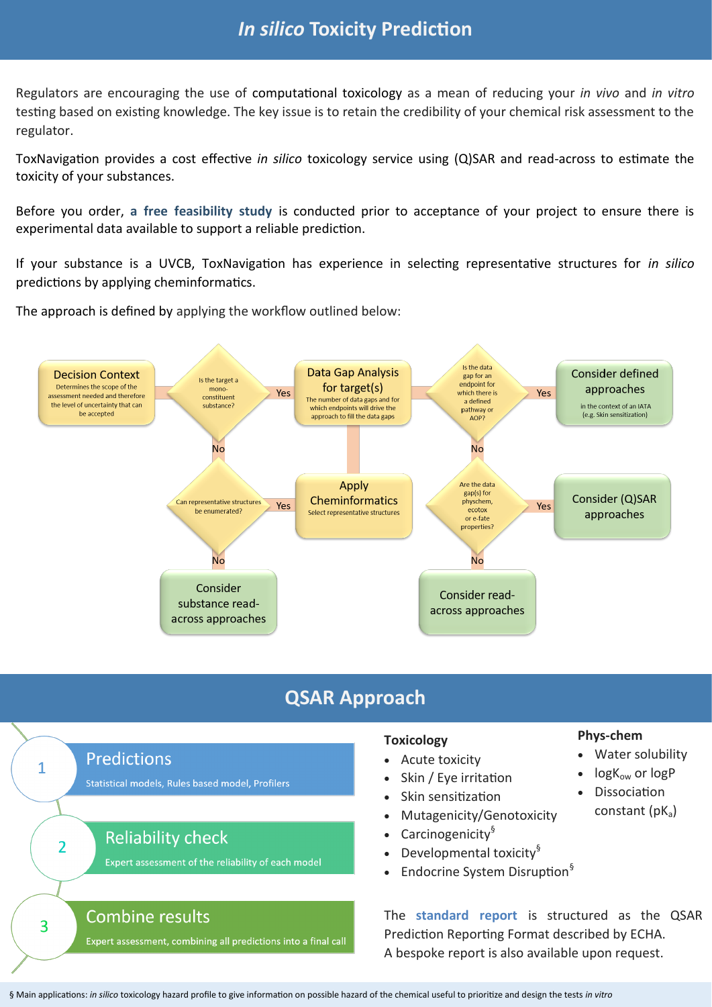### *In silico* **Toxicity Prediction**

Regulators are encouraging the use of computational toxicology as a mean of reducing your *in vivo* and *in vitro*  testing based on existing knowledge. The key issue is to retain the credibility of your chemical risk assessment to the regulator.

ToxNavigation provides a cost effective *in silico* toxicology service using (Q)SAR and read-across to estimate the toxicity of your substances.

Before you order, **a free feasibility study** is conducted prior to acceptance of your project to ensure there is experimental data available to support a reliable prediction.

If your substance is a UVCB, ToxNavigation has experience in selecting representative structures for *in silico*  predictions by applying cheminformatics.

The approach is defined by applying the workflow outlined below:



## **QSAR Approach**



A bespoke report is also available upon request.

#### **Phys-chem**

- Water solubility
- $log K_{ow}$  or  $log P$
- **Dissociation** 
	- constant  $(pK_a)$

§ Main applications: *in silico* toxicology hazard profile to give information on possible hazard of the chemical useful to prioritize and design the tests *in vitro*